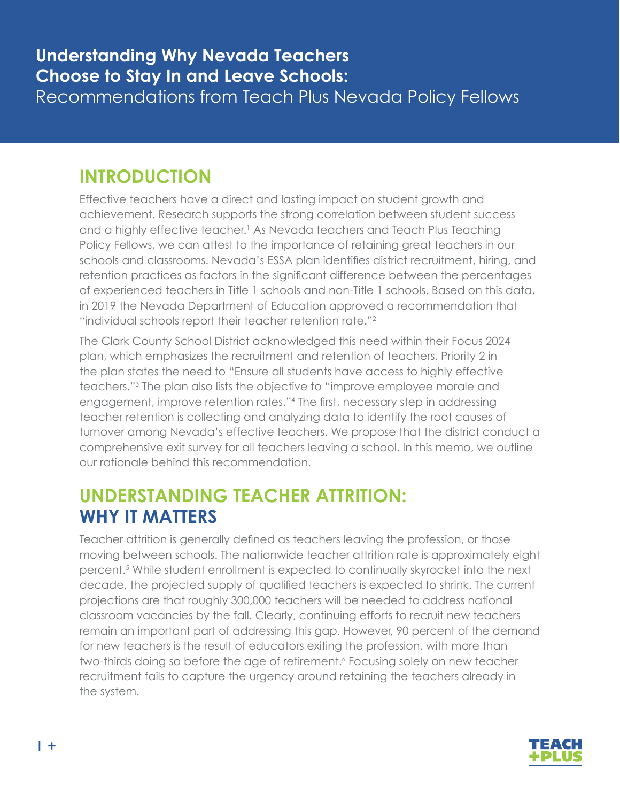# **INTRODUCTION**

Effective teachers have a direct and lasting impact on student growth and achievement. Research supports the strong correlation between student success and a highly effective teacher. <sup>1</sup> As Nevada teachers and Teach Plus Teaching Policy Fellows, we can attest to the importance of retaining great teachers in our schools and classrooms. Nevada's ESSA plan identifies district recruitment, hiring, and retention practices as factors in the significant difference between the percentages of experienced teachers in Title 1 schools and non-Title 1 schools. Based on this data, in 2019 the Nevada Department of Education approved a recommendation that "individual schools report their teacher retention rate."<sup>2</sup>

The Clark County School District acknowledged this need within their Focus 2024 plan, which emphasizes the recruitment and retention of teachers. Priority 2 in the plan states the need to "Ensure all students have access to highly effective teachers."<sup>3</sup> The plan also lists the objective to "improve employee morale and engagement, improve retention rates."<sup>4</sup> The first, necessary step in addressing teacher retention is collecting and analyzing data to identify the root causes of turnover among Nevada's effective teachers. We propose that the district conduct a comprehensive exit survey for all teachers leaving a school. In this memo, we outline our rationale behind this recommendation.

# **UNDERSTANDING TEACHER ATTRITION: WHY IT MATTERS**

Teacher attrition is generally defined as teachers leaving the profession, or those moving between schools. The nationwide teacher attrition rate is approximately eight percent.<sup>5</sup> While student enrollment is expected to continually skyrocket into the next decade, the projected supply of qualified teachers is expected to shrink. The current projections are that roughly 300,000 teachers will be needed to address national classroom vacancies by the fall. Clearly, continuing efforts to recruit new teachers remain an important part of addressing this gap. However, 90 percent of the demand for new teachers is the result of educators exiting the profession, with more than two-thirds doing so before the age of retirement.<sup>6</sup> Focusing solely on new teacher recruitment fails to capture the urgency around retaining the teachers already in the system.

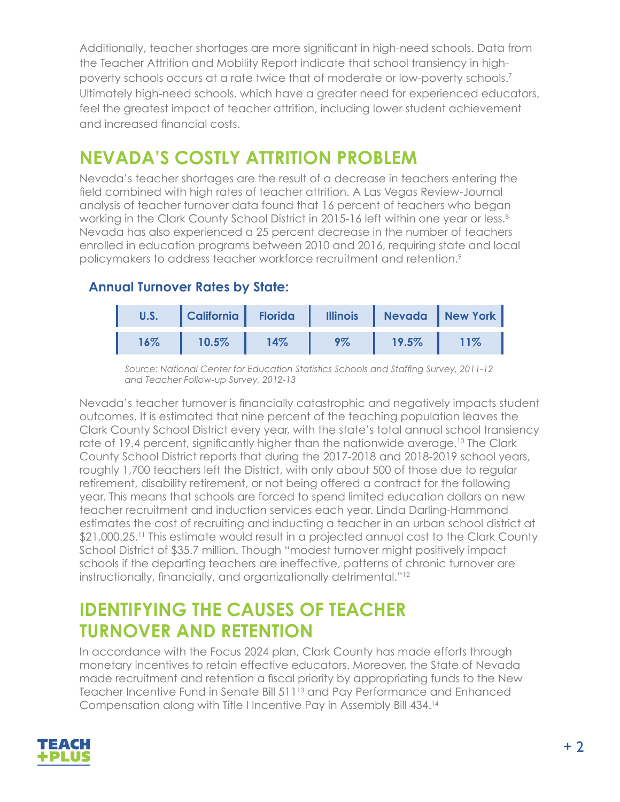Additionally, teacher shortages are more significant in high-need schools. Data from the Teacher Attrition and Mobility Report indicate that school transiency in highpoverty schools occurs at a rate twice that of moderate or low-poverty schools.7 Ultimately high-need schools, which have a greater need for experienced educators, feel the greatest impact of teacher attrition, including lower student achievement and increased financial costs.

# **NEVADA'S COSTLY ATTRITION PROBLEM**

Nevada's teacher shortages are the result of a decrease in teachers entering the field combined with high rates of teacher attrition. A Las Vegas Review-Journal analysis of teacher turnover data found that 16 percent of teachers who began working in the Clark County School District in 2015-16 left within one year or less.<sup>8</sup> Nevada has also experienced a 25 percent decrease in the number of teachers enrolled in education programs between 2010 and 2016, requiring state and local policymakers to address teacher workforce recruitment and retention.<sup>9</sup>

### **Annual Turnover Rates by State:**

| U.S. | California | <b>Florida</b> | <b>Illinois</b> |       | Nevada New York |
|------|------------|----------------|-----------------|-------|-----------------|
| 16%  | 10.5%      | 14%            | 9%              | 19.5% | 11%             |

*Source: National Center for Education Statistics Schools and Staffing Survey, 2011-12 and Teacher Follow-up Survey, 2012-13*

Nevada's teacher turnover is financially catastrophic and negatively impacts student outcomes. It is estimated that nine percent of the teaching population leaves the Clark County School District every year, with the state's total annual school transiency rate of 19.4 percent, significantly higher than the nationwide average.<sup>10</sup> The Clark County School District reports that during the 2017-2018 and 2018-2019 school years, roughly 1,700 teachers left the District, with only about 500 of those due to regular retirement, disability retirement, or not being offered a contract for the following year. This means that schools are forced to spend limited education dollars on new teacher recruitment and induction services each year. Linda Darling-Hammond estimates the cost of recruiting and inducting a teacher in an urban school district at \$21,000.25.<sup>11</sup> This estimate would result in a projected annual cost to the Clark County School District of \$35.7 million. Though "modest turnover might positively impact schools if the departing teachers are ineffective, patterns of chronic turnover are instructionally, financially, and organizationally detrimental."<sup>12</sup>

## **IDENTIFYING THE CAUSES OF TEACHER TURNOVER AND RETENTION**

In accordance with the Focus 2024 plan, Clark County has made efforts through monetary incentives to retain effective educators. Moreover, the State of Nevada made recruitment and retention a fiscal priority by appropriating funds to the New Teacher Incentive Fund in Senate Bill 511<sup>13</sup> and Pay Performance and Enhanced Compensation along with Title I Incentive Pay in Assembly Bill 434.14

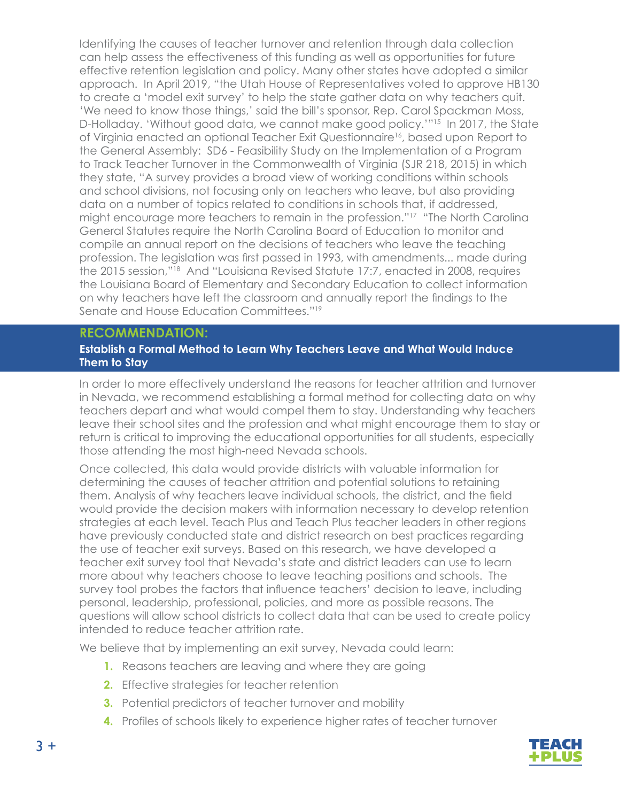Identifying the causes of teacher turnover and retention through data collection can help assess the effectiveness of this funding as well as opportunities for future effective retention legislation and policy. Many other states have adopted a similar approach. In April 2019, "the Utah House of Representatives voted to approve HB130 to create a 'model exit survey' to help the state gather data on why teachers quit. 'We need to know those things,' said the bill's sponsor, Rep. Carol Spackman Moss, D-Holladay. 'Without good data, we cannot make good policy.'"15 In 2017, the State of Virginia enacted an optional Teacher Exit Questionnaire16, based upon Report to the General Assembly: SD6 - Feasibility Study on the Implementation of a Program to Track Teacher Turnover in the Commonwealth of Virginia (SJR 218, 2015) in which they state, "A survey provides a broad view of working conditions within schools and school divisions, not focusing only on teachers who leave, but also providing data on a number of topics related to conditions in schools that, if addressed, might encourage more teachers to remain in the profession."<sup>17</sup> "The North Carolina General Statutes require the North Carolina Board of Education to monitor and compile an annual report on the decisions of teachers who leave the teaching profession. The legislation was first passed in 1993, with amendments... made during the 2015 session,"18 And "Louisiana Revised Statute 17:7, enacted in 2008, requires the Louisiana Board of Elementary and Secondary Education to collect information on why teachers have left the classroom and annually report the findings to the Senate and House Education Committees."19

#### **RECOMMENDATION:**

#### **Establish a Formal Method to Learn Why Teachers Leave and What Would Induce Them to Stay**

In order to more effectively understand the reasons for teacher attrition and turnover in Nevada, we recommend establishing a formal method for collecting data on why teachers depart and what would compel them to stay. Understanding why teachers leave their school sites and the profession and what might encourage them to stay or return is critical to improving the educational opportunities for all students, especially those attending the most high-need Nevada schools.

Once collected, this data would provide districts with valuable information for determining the causes of teacher attrition and potential solutions to retaining them. Analysis of why teachers leave individual schools, the district, and the field would provide the decision makers with information necessary to develop retention strategies at each level. Teach Plus and Teach Plus teacher leaders in other regions have previously conducted state and district research on best practices regarding the use of teacher exit surveys. Based on this research, we have developed a teacher exit survey tool that Nevada's state and district leaders can use to learn more about why teachers choose to leave teaching positions and schools. The survey tool probes the factors that influence teachers' decision to leave, including personal, leadership, professional, policies, and more as possible reasons. The questions will allow school districts to collect data that can be used to create policy intended to reduce teacher attrition rate.

We believe that by implementing an exit survey, Nevada could learn:

- **1.** Reasons teachers are leaving and where they are going
- **2.** Effective strategies for teacher retention
- **3.** Potential predictors of teacher turnover and mobility
- **4.** Profiles of schools likely to experience higher rates of teacher turnover

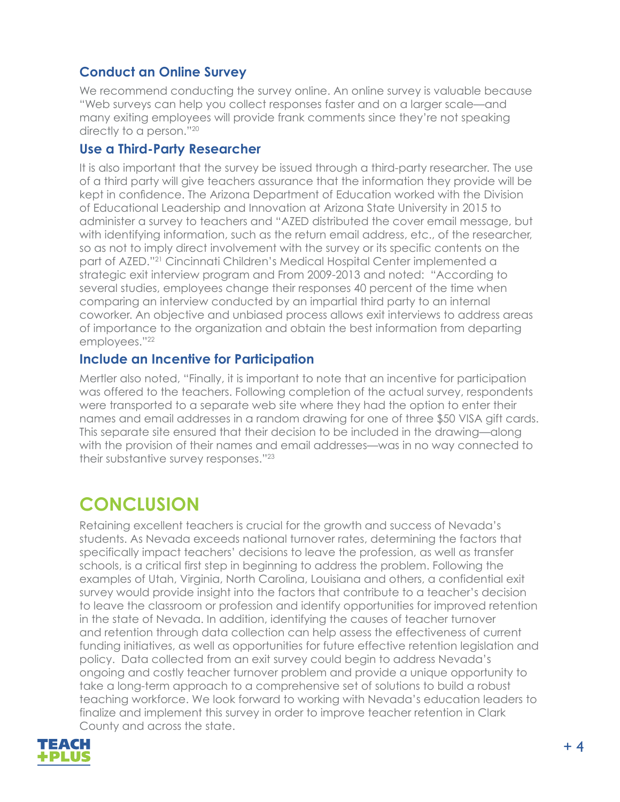### **Conduct an Online Survey**

We recommend conducting the survey online. An online survey is valuable because "Web surveys can help you collect responses faster and on a larger scale—and many exiting employees will provide frank comments since they're not speaking directly to a person."<sup>20</sup>

#### **Use a Third-Party Researcher**

It is also important that the survey be issued through a third-party researcher. The use of a third party will give teachers assurance that the information they provide will be kept in confidence. The Arizona Department of Education worked with the Division of Educational Leadership and Innovation at Arizona State University in 2015 to administer a survey to teachers and "AZED distributed the cover email message, but with identifying information, such as the return email address, etc., of the researcher, so as not to imply direct involvement with the survey or its specific contents on the part of AZED."<sup>21</sup> Cincinnati Children's Medical Hospital Center implemented a strategic exit interview program and From 2009-2013 and noted: "According to several studies, employees change their responses 40 percent of the time when comparing an interview conducted by an impartial third party to an internal coworker. An objective and unbiased process allows exit interviews to address areas of importance to the organization and obtain the best information from departing employees."<sup>22</sup>

#### **Include an Incentive for Participation**

Mertler also noted, "Finally, it is important to note that an incentive for participation was offered to the teachers. Following completion of the actual survey, respondents were transported to a separate web site where they had the option to enter their names and email addresses in a random drawing for one of three \$50 VISA gift cards. This separate site ensured that their decision to be included in the drawing—along with the provision of their names and email addresses—was in no way connected to their substantive survey responses."<sup>23</sup>

# **CONCLUSION**

Retaining excellent teachers is crucial for the growth and success of Nevada's students. As Nevada exceeds national turnover rates, determining the factors that specifically impact teachers' decisions to leave the profession, as well as transfer schools, is a critical first step in beginning to address the problem. Following the examples of Utah, Virginia, North Carolina, Louisiana and others, a confidential exit survey would provide insight into the factors that contribute to a teacher's decision to leave the classroom or profession and identify opportunities for improved retention in the state of Nevada. In addition, identifying the causes of teacher turnover and retention through data collection can help assess the effectiveness of current funding initiatives, as well as opportunities for future effective retention legislation and policy. Data collected from an exit survey could begin to address Nevada's ongoing and costly teacher turnover problem and provide a unique opportunity to take a long-term approach to a comprehensive set of solutions to build a robust teaching workforce. We look forward to working with Nevada's education leaders to finalize and implement this survey in order to improve teacher retention in Clark County and across the state.

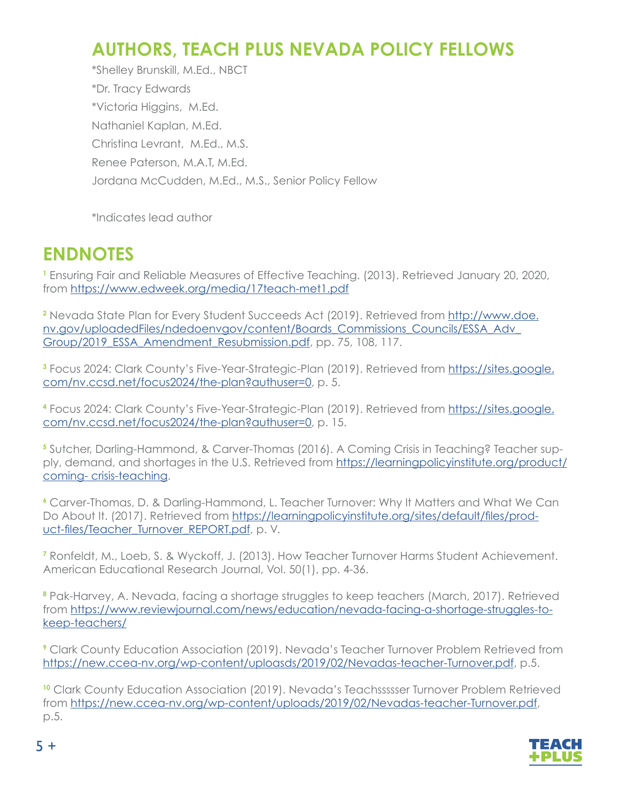# **AUTHORS, TEACH PLUS NEVADA POLICY FELLOWS**

\*Shelley Brunskill, M.Ed., NBCT \*Dr. Tracy Edwards \*Victoria Higgins, M.Ed. Nathaniel Kaplan, M.Ed. Christina Levrant, M.Ed., M.S. Renee Paterson, M.A.T, M.Ed. Jordana McCudden, M.Ed., M.S., Senior Policy Fellow

\*Indicates lead author

### **ENDNOTES**

**1** Ensuring Fair and Reliable Measures of Effective Teaching. (2013). Retrieved January 20, 2020, from <https://www.edweek.org/media/17teach-met1.pdf>

**2** Nevada State Plan for Every Student Succeeds Act (2019). Retrieved from [http://www.doe.](http://www.doe.nv.gov/uploadedFiles/ndedoenvgov/content/Boards_Commissions_Councils/ESSA_Adv_Group/2) [nv.gov/uploadedFiles/ndedoenvgov/content/Boards\\_Commissions\\_Councils/ESSA\\_Adv\\_](http://www.doe.nv.gov/uploadedFiles/ndedoenvgov/content/Boards_Commissions_Councils/ESSA_Adv_Group/2) Group/2019 ESSA Amendment Resubmission.pdf, pp. 75, 108, 117.

**3** Focus 2024: Clark County's Five-Year-Strategic-Plan (2019). Retrieved from [https://sites.google.](https://sites.google.com/nv.ccsd.net/focus2024/the-plan?authuser=0) [com/nv.ccsd.net/focus2024/the-plan?authuser=0,](https://sites.google.com/nv.ccsd.net/focus2024/the-plan?authuser=0) p. 5.

**4** Focus 2024: Clark County's Five-Year-Strategic-Plan (2019). Retrieved from [https://sites.google.](https://sites.google.com/nv.ccsd.net/focus2024/the-plan?authuser=0) [com/nv.ccsd.net/focus2024/the-plan?authuser=0,](https://sites.google.com/nv.ccsd.net/focus2024/the-plan?authuser=0) p. 15.

**5** Sutcher, Darling-Hammond, & Carver-Thomas (2016). A Coming Crisis in Teaching? Teacher supply, demand, and shortages in the U.S. Retrieved from [https://learningpolicyinstitute.org/product/](https://learningpolicyinstitute.org/product/coming- crisis-teaching) [coming- crisis-teaching.](https://learningpolicyinstitute.org/product/coming- crisis-teaching)

**<sup>6</sup>** Carver-Thomas, D. & Darling-Hammond, L. Teacher Turnover: Why It Matters and What We Can Do About It. (2017). Retrieved from [https://learningpolicyinstitute.org/sites/default/files/prod](https://learningpolicyinstitute.org/sites/default/files/product-files/Teacher_Turnover_REPORT.pdf)[uct-files/Teacher\\_Turnover\\_REPORT.pdf](https://learningpolicyinstitute.org/sites/default/files/product-files/Teacher_Turnover_REPORT.pdf), p. V.

**7** Ronfeldt, M., Loeb, S. & Wyckoff, J. (2013). How Teacher Turnover Harms Student Achievement. American Educational Research Journal, Vol. 50(1), pp. 4-36.

**8** Pak-Harvey, A. Nevada, facing a shortage struggles to keep teachers (March, 2017). Retrieved from [https://www.reviewjournal.com/news/education/nevada-facing-a-shortage-struggles-to](https://www.reviewjournal.com/news/education/nevada-facing-a-shortage-struggles-to-keep-teachers/)[keep-teachers/](https://www.reviewjournal.com/news/education/nevada-facing-a-shortage-struggles-to-keep-teachers/)

**9** Clark County Education Association (2019). Nevada's Teacher Turnover Problem Retrieved from [https://new.ccea-nv.org/wp-content/uploasds/2019/02/Nevadas-teacher-Turnover.pdf,](https://new.ccea-nv.org/wp-content/uploasds/2019/02/Nevadas-teacher-Turnover.pdf) p.5.

<sup>10</sup> Clark County Education Association (2019). Nevada's Teachssssser Turnover Problem Retrieved from [https://new.ccea-nv.org/wp-content/uploads/2019/02/Nevadas-teacher-Turnover.pdf,](https://new.ccea-nv.org/wp-content/uploads/2019/02/Nevadas-teacher-Turnover.pdf) p.5.



 $5 +$